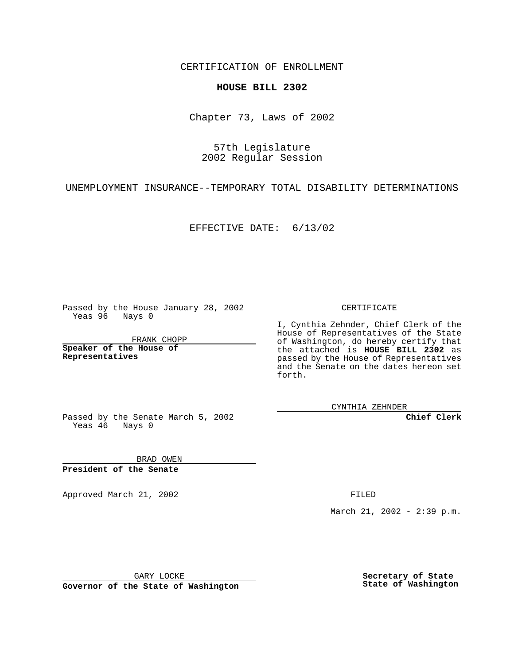CERTIFICATION OF ENROLLMENT

## **HOUSE BILL 2302**

Chapter 73, Laws of 2002

57th Legislature 2002 Regular Session

UNEMPLOYMENT INSURANCE--TEMPORARY TOTAL DISABILITY DETERMINATIONS

EFFECTIVE DATE: 6/13/02

Passed by the House January 28, 2002 Yeas 96 Nays 0

FRANK CHOPP

**Speaker of the House of Representatives**

CERTIFICATE

I, Cynthia Zehnder, Chief Clerk of the House of Representatives of the State of Washington, do hereby certify that the attached is **HOUSE BILL 2302** as passed by the House of Representatives and the Senate on the dates hereon set forth.

CYNTHIA ZEHNDER

**Chief Clerk**

Passed by the Senate March 5, 2002 Yeas 46 Nays 0

BRAD OWEN **President of the Senate**

Approved March 21, 2002 **FILED** 

March 21, 2002 - 2:39 p.m.

GARY LOCKE

**Governor of the State of Washington**

**Secretary of State State of Washington**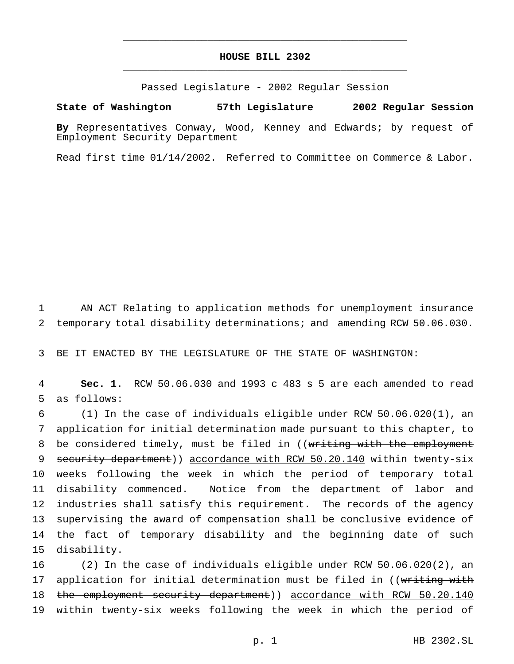## **HOUSE BILL 2302** \_\_\_\_\_\_\_\_\_\_\_\_\_\_\_\_\_\_\_\_\_\_\_\_\_\_\_\_\_\_\_\_\_\_\_\_\_\_\_\_\_\_\_\_\_\_\_

\_\_\_\_\_\_\_\_\_\_\_\_\_\_\_\_\_\_\_\_\_\_\_\_\_\_\_\_\_\_\_\_\_\_\_\_\_\_\_\_\_\_\_\_\_\_\_

Passed Legislature - 2002 Regular Session

## **State of Washington 57th Legislature 2002 Regular Session**

**By** Representatives Conway, Wood, Kenney and Edwards; by request of Employment Security Department

Read first time 01/14/2002. Referred to Committee on Commerce & Labor.

1 AN ACT Relating to application methods for unemployment insurance 2 temporary total disability determinations; and amending RCW 50.06.030.

3 BE IT ENACTED BY THE LEGISLATURE OF THE STATE OF WASHINGTON:

4 **Sec. 1.** RCW 50.06.030 and 1993 c 483 s 5 are each amended to read 5 as follows:

 (1) In the case of individuals eligible under RCW 50.06.020(1), an application for initial determination made pursuant to this chapter, to 8 be considered timely, must be filed in ((writing with the employment 9 security department) accordance with RCW 50.20.140 within twenty-six weeks following the week in which the period of temporary total disability commenced. Notice from the department of labor and industries shall satisfy this requirement. The records of the agency supervising the award of compensation shall be conclusive evidence of the fact of temporary disability and the beginning date of such disability.

16 (2) In the case of individuals eligible under RCW 50.06.020(2), an 17 application for initial determination must be filed in ((writing with 18 the employment security department)) accordance with RCW 50.20.140 19 within twenty-six weeks following the week in which the period of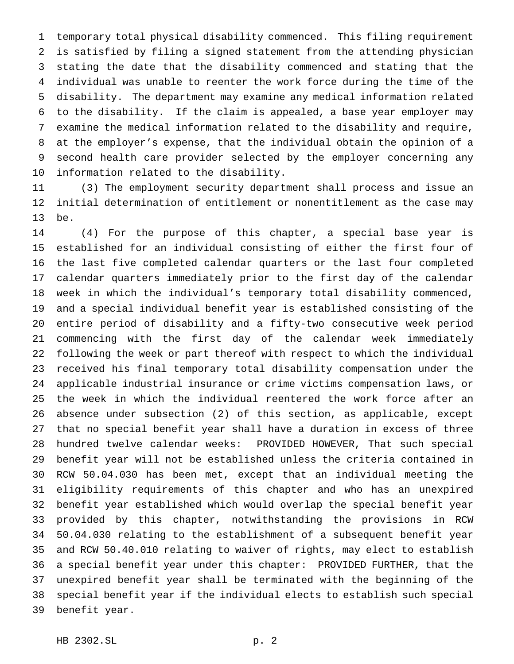temporary total physical disability commenced. This filing requirement is satisfied by filing a signed statement from the attending physician stating the date that the disability commenced and stating that the individual was unable to reenter the work force during the time of the disability. The department may examine any medical information related to the disability. If the claim is appealed, a base year employer may examine the medical information related to the disability and require, at the employer's expense, that the individual obtain the opinion of a second health care provider selected by the employer concerning any information related to the disability.

 (3) The employment security department shall process and issue an initial determination of entitlement or nonentitlement as the case may be.

 (4) For the purpose of this chapter, a special base year is established for an individual consisting of either the first four of the last five completed calendar quarters or the last four completed calendar quarters immediately prior to the first day of the calendar week in which the individual's temporary total disability commenced, and a special individual benefit year is established consisting of the entire period of disability and a fifty-two consecutive week period commencing with the first day of the calendar week immediately following the week or part thereof with respect to which the individual received his final temporary total disability compensation under the applicable industrial insurance or crime victims compensation laws, or the week in which the individual reentered the work force after an absence under subsection (2) of this section, as applicable, except that no special benefit year shall have a duration in excess of three hundred twelve calendar weeks: PROVIDED HOWEVER, That such special benefit year will not be established unless the criteria contained in RCW 50.04.030 has been met, except that an individual meeting the eligibility requirements of this chapter and who has an unexpired benefit year established which would overlap the special benefit year provided by this chapter, notwithstanding the provisions in RCW 50.04.030 relating to the establishment of a subsequent benefit year and RCW 50.40.010 relating to waiver of rights, may elect to establish a special benefit year under this chapter: PROVIDED FURTHER, that the unexpired benefit year shall be terminated with the beginning of the special benefit year if the individual elects to establish such special benefit year.